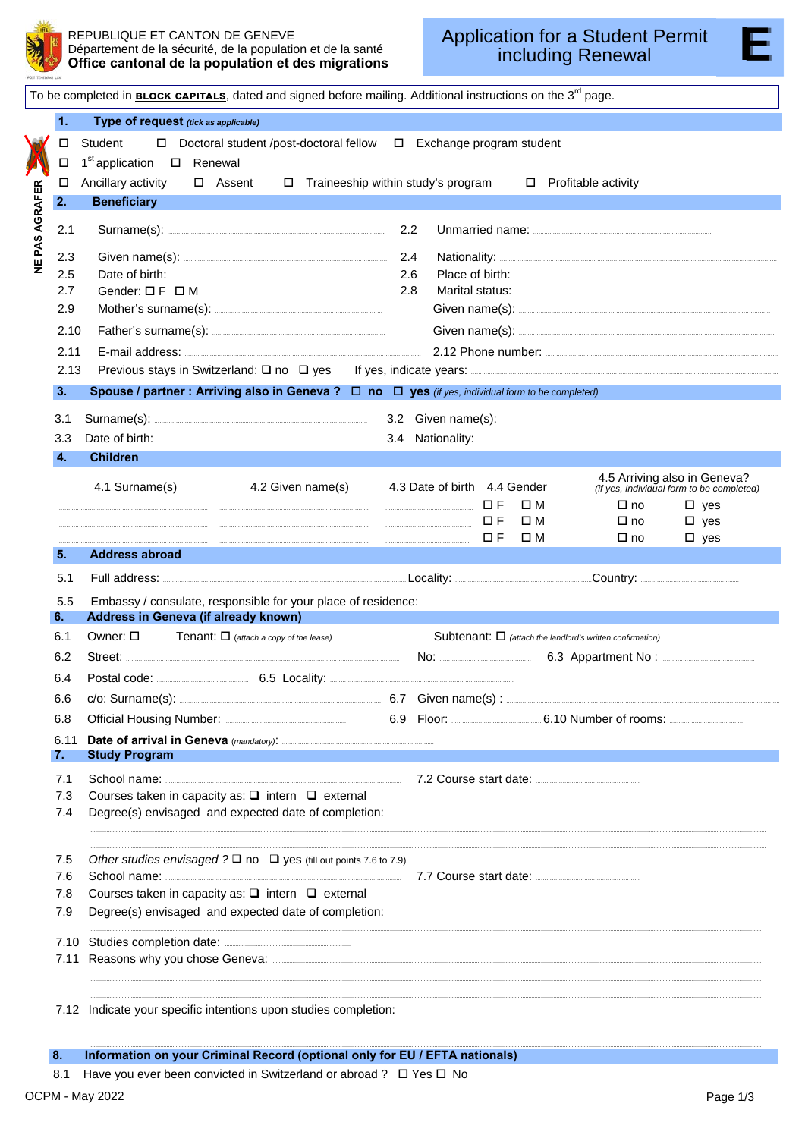

F

## REPUBLIQUE ET CANTON DE GENEVE Département de la sécurité, de la population et de la santé Office cantonal de la population et des migrations

|                       | To be completed in BLOCK CAPITALS, dated and signed before mailing. Additional instructions on the 3 <sup>rd</sup> page. |                                                                                                                                                                                                                                      |     |                              |             |                                                                           |  |
|-----------------------|--------------------------------------------------------------------------------------------------------------------------|--------------------------------------------------------------------------------------------------------------------------------------------------------------------------------------------------------------------------------------|-----|------------------------------|-------------|---------------------------------------------------------------------------|--|
| 1.                    | Type of request (tick as applicable)                                                                                     |                                                                                                                                                                                                                                      |     |                              |             |                                                                           |  |
|                       | Student<br>$\Box$ Doctoral student /post-doctoral fellow $\Box$ Exchange program student<br>□                            |                                                                                                                                                                                                                                      |     |                              |             |                                                                           |  |
| П                     |                                                                                                                          | 1 <sup>st</sup> application □ Renewal                                                                                                                                                                                                |     |                              |             |                                                                           |  |
| 0                     |                                                                                                                          | Ancillary activity $\Box$ Assent $\Box$ Traineeship within study's program                                                                                                                                                           |     |                              |             | $\Box$ Profitable activity                                                |  |
| 2.                    |                                                                                                                          | <b>Beneficiary</b>                                                                                                                                                                                                                   |     |                              |             |                                                                           |  |
| NE PAS AGRAFER<br>2.1 |                                                                                                                          |                                                                                                                                                                                                                                      |     |                              |             |                                                                           |  |
| 2.3                   |                                                                                                                          |                                                                                                                                                                                                                                      | 2.4 |                              |             |                                                                           |  |
| 2.5                   |                                                                                                                          |                                                                                                                                                                                                                                      | 2.6 |                              |             |                                                                           |  |
| 2.7                   |                                                                                                                          | Gender: $\Box$ F $\Box$ M                                                                                                                                                                                                            | 2.8 |                              |             |                                                                           |  |
| 2.9                   |                                                                                                                          |                                                                                                                                                                                                                                      |     |                              |             |                                                                           |  |
|                       | 2.10                                                                                                                     |                                                                                                                                                                                                                                      |     |                              |             |                                                                           |  |
|                       | 2.11                                                                                                                     | E-mail address: <u>Campion and Captain and Captain and Captain and Captain and Captain and Captain and Captain and Captain and Captain and Captain and Captain and Captain and Captain and Captain and Captain and Captain and C</u> |     |                              |             |                                                                           |  |
|                       | 2.13                                                                                                                     |                                                                                                                                                                                                                                      |     |                              |             |                                                                           |  |
| 3.                    |                                                                                                                          | Spouse / partner : Arriving also in Geneva ? $\Box$ no $\Box$ yes (if yes, individual form to be completed)                                                                                                                          |     |                              |             | <b>Service Service</b>                                                    |  |
| 3.1                   |                                                                                                                          | Surname(s): 3.2 Given name(s):                                                                                                                                                                                                       |     |                              |             |                                                                           |  |
| 3.3                   |                                                                                                                          | Date of birth: <b>Example 2018</b>                                                                                                                                                                                                   |     |                              |             |                                                                           |  |
| 4.                    |                                                                                                                          | <b>Children</b>                                                                                                                                                                                                                      |     |                              |             |                                                                           |  |
|                       |                                                                                                                          | 4.1 Surname(s)<br>4.2 Given name(s)                                                                                                                                                                                                  |     | 4.3 Date of birth 4.4 Gender |             | 4.5 Arriving also in Geneva?<br>(if yes, individual form to be completed) |  |
|                       |                                                                                                                          |                                                                                                                                                                                                                                      |     |                              | $\square$ M | $\square$ no<br>$\square$ yes                                             |  |
|                       |                                                                                                                          |                                                                                                                                                                                                                                      |     | <b>DF</b>                    | $\square$ M | $\square$ no<br>$\square$ yes                                             |  |
| 5.                    |                                                                                                                          | <b>Address abroad</b>                                                                                                                                                                                                                |     | $\Box F$                     | $\square$ M | $\square$ no<br>$\square$ yes                                             |  |
|                       |                                                                                                                          |                                                                                                                                                                                                                                      |     |                              |             |                                                                           |  |
|                       |                                                                                                                          |                                                                                                                                                                                                                                      |     |                              |             |                                                                           |  |
| 5.1                   |                                                                                                                          | Full address: Country: Country: Country: Country: Country: Country: Country: Country: Country: Country: Country: Country: Country: Country: Country: Country: Country: Country: Country: Country: Country: Country: Country: C       |     |                              |             |                                                                           |  |
| 5.5<br>6.             |                                                                                                                          |                                                                                                                                                                                                                                      |     |                              |             |                                                                           |  |
| 6.1                   |                                                                                                                          | Address in Geneva (if already known)                                                                                                                                                                                                 |     |                              |             | Subtenant: $\Box$ (attach the landlord's written confirmation)            |  |
| 6.2                   |                                                                                                                          |                                                                                                                                                                                                                                      |     |                              |             |                                                                           |  |
| 6.4                   |                                                                                                                          |                                                                                                                                                                                                                                      |     |                              |             |                                                                           |  |
| 6.6                   |                                                                                                                          |                                                                                                                                                                                                                                      |     |                              |             |                                                                           |  |
| 6.8                   |                                                                                                                          |                                                                                                                                                                                                                                      |     |                              |             | 6.9 Floor: 6.10 Number of rooms: 5.10 Number of rooms:                    |  |
| 6.11                  |                                                                                                                          |                                                                                                                                                                                                                                      |     |                              |             |                                                                           |  |
| 7.                    |                                                                                                                          | <b>Study Program</b>                                                                                                                                                                                                                 |     |                              |             |                                                                           |  |
| 7.1                   |                                                                                                                          |                                                                                                                                                                                                                                      |     |                              |             |                                                                           |  |
| 7.3                   |                                                                                                                          | Courses taken in capacity as: $\Box$ intern $\Box$ external                                                                                                                                                                          |     |                              |             |                                                                           |  |
| 7.4                   |                                                                                                                          | Degree(s) envisaged and expected date of completion:                                                                                                                                                                                 |     |                              |             |                                                                           |  |
|                       |                                                                                                                          |                                                                                                                                                                                                                                      |     |                              |             |                                                                           |  |
| 7.5                   |                                                                                                                          | Other studies envisaged $? \square$ no $\square$ yes (fill out points 7.6 to 7.9)                                                                                                                                                    |     |                              |             |                                                                           |  |
| 7.6                   |                                                                                                                          |                                                                                                                                                                                                                                      |     |                              |             |                                                                           |  |
| 7.8<br>7.9            |                                                                                                                          | Courses taken in capacity as: $\square$ intern $\square$ external<br>Degree(s) envisaged and expected date of completion:                                                                                                            |     |                              |             |                                                                           |  |
|                       |                                                                                                                          |                                                                                                                                                                                                                                      |     |                              |             |                                                                           |  |
| 7.11                  | 7.10                                                                                                                     |                                                                                                                                                                                                                                      |     |                              |             |                                                                           |  |
|                       |                                                                                                                          | Reasons why you chose Geneva: <u>contract and a set of the set of the set of the set of the set of the set of the set of the set of the set of the set of the set of the set of the set of the set of the set of the set of the </u> |     |                              |             |                                                                           |  |
|                       |                                                                                                                          |                                                                                                                                                                                                                                      |     |                              |             |                                                                           |  |
|                       |                                                                                                                          | 7.12 Indicate your specific intentions upon studies completion:                                                                                                                                                                      |     |                              |             |                                                                           |  |

8.1 Have you ever been convicted in Switzerland or abroad ? □ Yes □ No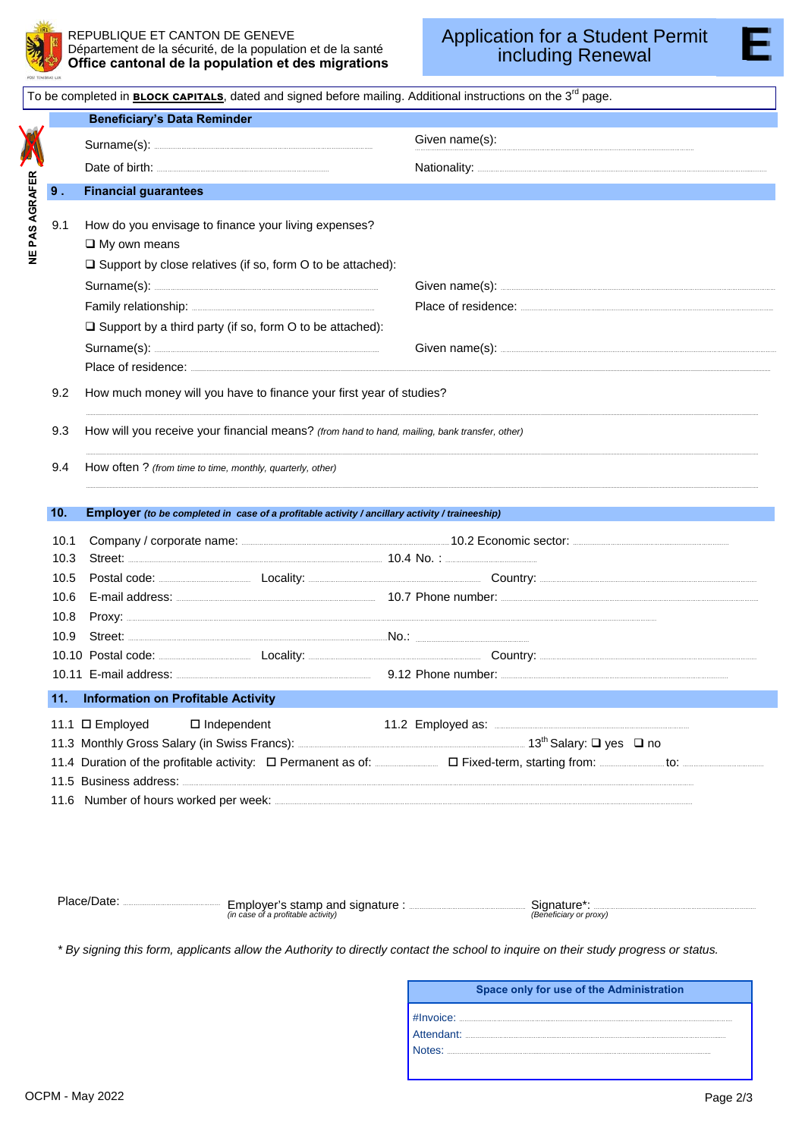

| To be completed in <b>BLOCK CAPITALS</b> , dated and signed before mailing. Additional instructions on the 3 <sup>rd</sup> page. |       |                                                                                                                                                                                                                               |                                                                                                                                                                                                                                     |  |  |
|----------------------------------------------------------------------------------------------------------------------------------|-------|-------------------------------------------------------------------------------------------------------------------------------------------------------------------------------------------------------------------------------|-------------------------------------------------------------------------------------------------------------------------------------------------------------------------------------------------------------------------------------|--|--|
|                                                                                                                                  |       | <b>Beneficiary's Data Reminder</b>                                                                                                                                                                                            |                                                                                                                                                                                                                                     |  |  |
|                                                                                                                                  |       |                                                                                                                                                                                                                               | Given name(s):                                                                                                                                                                                                                      |  |  |
|                                                                                                                                  |       |                                                                                                                                                                                                                               |                                                                                                                                                                                                                                     |  |  |
|                                                                                                                                  | $9$ . | <b>Financial guarantees</b>                                                                                                                                                                                                   |                                                                                                                                                                                                                                     |  |  |
| NE PAS AGRAFER                                                                                                                   | 9.1   | How do you envisage to finance your living expenses?<br>$\square$ My own means                                                                                                                                                |                                                                                                                                                                                                                                     |  |  |
|                                                                                                                                  |       | $\Box$ Support by close relatives (if so, form O to be attached):                                                                                                                                                             |                                                                                                                                                                                                                                     |  |  |
|                                                                                                                                  |       |                                                                                                                                                                                                                               |                                                                                                                                                                                                                                     |  |  |
|                                                                                                                                  |       |                                                                                                                                                                                                                               |                                                                                                                                                                                                                                     |  |  |
|                                                                                                                                  |       | $\Box$ Support by a third party (if so, form O to be attached):<br>Place of residence: New York Place of residence:                                                                                                           |                                                                                                                                                                                                                                     |  |  |
|                                                                                                                                  | 9.2   | How much money will you have to finance your first year of studies?                                                                                                                                                           |                                                                                                                                                                                                                                     |  |  |
|                                                                                                                                  |       |                                                                                                                                                                                                                               |                                                                                                                                                                                                                                     |  |  |
|                                                                                                                                  | 9.3   | How will you receive your financial means? (from hand to hand, mailing, bank transfer, other)                                                                                                                                 |                                                                                                                                                                                                                                     |  |  |
|                                                                                                                                  | 9.4   | How often? (from time to time, monthly, quarterly, other)                                                                                                                                                                     |                                                                                                                                                                                                                                     |  |  |
|                                                                                                                                  | 10.   |                                                                                                                                                                                                                               |                                                                                                                                                                                                                                     |  |  |
|                                                                                                                                  |       | Employer (to be completed in case of a profitable activity / ancillary activity / traineeship)                                                                                                                                |                                                                                                                                                                                                                                     |  |  |
|                                                                                                                                  | 10.1  |                                                                                                                                                                                                                               |                                                                                                                                                                                                                                     |  |  |
|                                                                                                                                  | 10.3  | Street: 2004 No. : 2004 No. : 2006 No. : 2006 No. : 2006 No. : 2006 No. : 2006 No. : 2006 No. : 2006 No. : 2006 No. : 2006 No. : 2006 No. : 2006 No. : 2006 No. : 2006 No. : 2006 No. : 2006 No. : 2006 No. : 2006 No. : 2006 | Postal code: <u>Communication</u> Locality: Locality: Locality: Locality: Locality: Locality: Locality: Locality: Locality: Locality: Locality: Locality: Locality: Locality: Locality: Locality: Locality: Locality: Locality: Loc |  |  |
| 10.5<br>10.6                                                                                                                     |       |                                                                                                                                                                                                                               |                                                                                                                                                                                                                                     |  |  |
|                                                                                                                                  | 10.8  |                                                                                                                                                                                                                               |                                                                                                                                                                                                                                     |  |  |
|                                                                                                                                  | 10.9  |                                                                                                                                                                                                                               |                                                                                                                                                                                                                                     |  |  |
|                                                                                                                                  |       |                                                                                                                                                                                                                               | 10.10 Postal code: Locality: Locality: Locality: Country: Country: Locality: Locality: Locality: Locality: Locality: Locality: Locality: Locality: Locality: Locality: Locality: Locality: Locality: Locality: Locality: Local      |  |  |
|                                                                                                                                  |       |                                                                                                                                                                                                                               | 10.11 E-mail address: 3.12 Phone number: 3.12 Phone number: 3.12 Phone number: 3.12 Phone number: 3.12 Phone number: 3.12 Phone number: 3.12 Phone number: 3.12 Phone number: 3.12 Phone number: 3.12 Phone number: 3.12 Phone      |  |  |
|                                                                                                                                  | 11.   | <b>Information on Profitable Activity</b>                                                                                                                                                                                     |                                                                                                                                                                                                                                     |  |  |
|                                                                                                                                  |       | 11.1 □ Employed<br>$\square$ Independent                                                                                                                                                                                      |                                                                                                                                                                                                                                     |  |  |
|                                                                                                                                  |       |                                                                                                                                                                                                                               |                                                                                                                                                                                                                                     |  |  |
|                                                                                                                                  |       |                                                                                                                                                                                                                               | 11.4 Duration of the profitable activity: $\Box$ Permanent as of: $\Box$ Fixed-term, starting from: $\Box$ to: $\Box$ to:                                                                                                           |  |  |
|                                                                                                                                  |       | 11.5 Business address: <b>www.communityme.communityme.communityme.communityme.communityme.communityme.communityme.com</b>                                                                                                     |                                                                                                                                                                                                                                     |  |  |
|                                                                                                                                  |       |                                                                                                                                                                                                                               |                                                                                                                                                                                                                                     |  |  |
|                                                                                                                                  |       |                                                                                                                                                                                                                               |                                                                                                                                                                                                                                     |  |  |

| $\sim$<br>. iacc.<br>Emplover's stamp and signature<br>(in case of a profitable activity) | Sidnatur<br>(Beneficiary or proxy) |
|-------------------------------------------------------------------------------------------|------------------------------------|
|-------------------------------------------------------------------------------------------|------------------------------------|

*\* By signing this form, applicants allow the Authority to directly contact the school to inquire on their study progress or status.* 

|            | Space only for use of the Administration                                                                       |
|------------|----------------------------------------------------------------------------------------------------------------|
| Attendant: |                                                                                                                |
|            | Notes: www.communication.com/www.com/www.com/www.com/www.com/www.com/www.com/www.com/www.com/www.com/www.com/w |